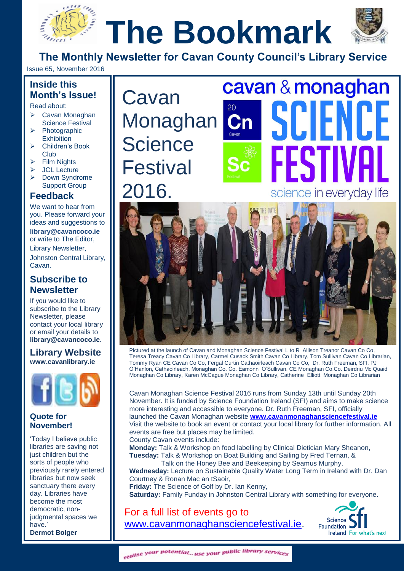# **The Bookmark**



**The Monthly Newsletter for Cavan County Council's Library Service**

Issue 65, November 2016

#### **Inside this Month's Issue!**

Read about:

- Cavan Monaghan Science Festival
- **Photographic Exhibition**
- Children's Book Club
- $\triangleright$  Film Nights
- JCL Lecture
- Down Syndrome Support Group

#### **Feedback**

We want to hear from you. Please forward your ideas and suggestions to **[library@cavancoco.ie](mailto:info@cavanlibrary.ie?subject=Newsletter%20ideas%20&%20Feedback)** or write to The Editor, Library Newsletter, Johnston Central Library, Cavan.

#### **Subscribe to Newsletter**

If you would like to subscribe to the Library Newsletter, please contact your local library or email your details to **[library@cavancoco.ie.](mailto:library@cavancoco.ie)**

**Library Website [www.cavanlibrary.ie](http://www.cavanlibrary.ie/)**



#### **Quote for November!**

'Today I believe public libraries are saving not just children but the sorts of people who previously rarely entered libraries but now seek sanctuary there every day. Libraries have become the most democratic, nonjudgmental spaces we have.' **Dermot Bolger** 

Cavan Monaghan | **Science Festival** 2016.



# **The Monthly Newsletter Services Services**<br> **The Monthly Services**<br> **The Monthly Services** science in everyday life



Pictured at the launch of Cavan and Monaghan Science Festival L to R Allison Treanor Cavan Co Co, Teresa Treacy Cavan Co Library, Carmel Cusack Smith Cavan Co Library, Tom Sullivan Cavan Co Librarian, Tommy Ryan CE Cavan Co Co, Fergal Curtin Cathaoirleach Cavan Co Co, Dr. Ruth Freeman, SFI, PJ O'Hanlon, Cathaoirleach, Monaghan Co. Co. Eamonn O'Sullivan, CE Monaghan Co.Co. Deirdriu Mc Quaid Monaghan Co Library, Karen McCague Monaghan Co Library, Catherine Elliott Monaghan Co Librarian

Cavan Monaghan Science Festival 2016 runs from Sunday 13th until Sunday 20th November. It is funded by Science Foundation Ireland (SFI) and aims to make science more interesting and accessible to everyone. Dr. Ruth Freeman, SFI, officially launched the Cavan Monaghan website **[www.cavanmonaghansciencefestival.ie](http://www.cavanmonaghansciencefestival.ie/)** Visit the website to book an event or contact your local library for further information. All events are free but places may be limited.

County Cavan events include: **Monday:** Talk & Workshop on food labelling by Clinical Dietician Mary Sheanon, **Tuesday:** Talk & Workshop on Boat Building and Sailing by Fred Ternan, &

Talk on the Honey Bee and Beekeeping by Seamus Murphy,

**Wednesday:** Lecture on Sustainable Quality Water Long Term in Ireland with Dr. Dan Courtney & Ronan Mac an tSaoir,

**Friday:** The Science of Golf by Dr. Ian Kenny, **Saturday:** Family Funday in Johnston Central Library with something for everyone.

For a full list of events go to [www.cavanmonaghansciencefestival.ie.](http://www.cavanmonaghansciencefestival.ie/)



realise your potential... use your public library services